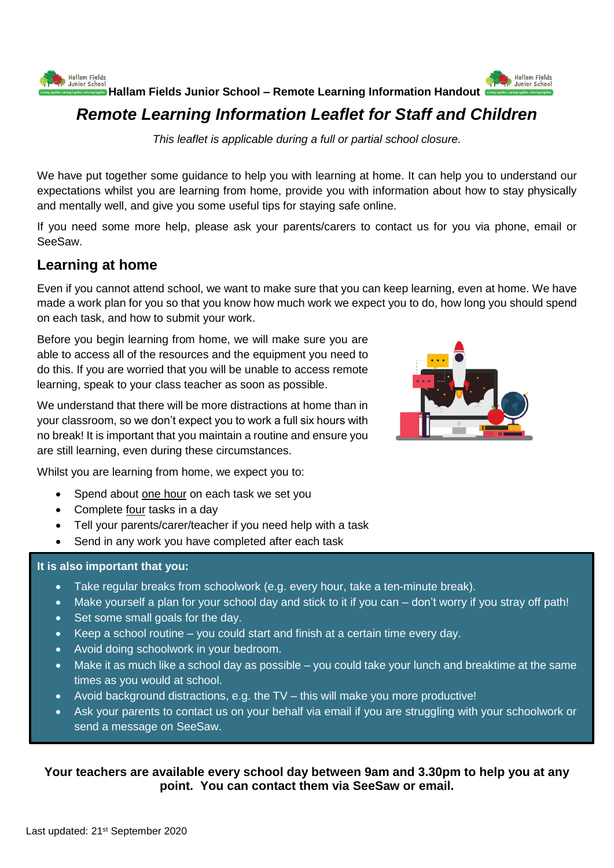



**Hallam Fields Junior School – Remote Learning Information Handout** 

# *Remote Learning Information Leaflet for Staff and Children*

*This leaflet is applicable during a full or partial school closure.*

We have put together some guidance to help you with learning at home. It can help you to understand our expectations whilst you are learning from home, provide you with information about how to stay physically and mentally well, and give you some useful tips for staying safe online.

If you need some more help, please ask your parents/carers to contact us for you via phone, email or SeeSaw.

### **Learning at home**

Even if you cannot attend school, we want to make sure that you can keep learning, even at home. We have made a work plan for you so that you know how much work we expect you to do, how long you should spend on each task, and how to submit your work.

Before you begin learning from home, we will make sure you are able to access all of the resources and the equipment you need to do this. If you are worried that you will be unable to access remote learning, speak to your class teacher as soon as possible.

We understand that there will be more distractions at home than in your classroom, so we don't expect you to work a full six hours with no break! It is important that you maintain a routine and ensure you are still learning, even during these circumstances.



Whilst you are learning from home, we expect you to:

- Spend about one hour on each task we set you
- Complete four tasks in a day
- Tell your parents/carer/teacher if you need help with a task
- Send in any work you have completed after each task

#### **It is also important that you:**

- Take regular breaks from schoolwork (e.g. every hour, take a ten-minute break).
- Make yourself a plan for your school day and stick to it if you can don't worry if you stray off path!
- Set some small goals for the day.
- Keep a school routine you could start and finish at a certain time every day.
- Avoid doing schoolwork in your bedroom.
- Make it as much like a school day as possible you could take your lunch and breaktime at the same times as you would at school.
- Avoid background distractions, e.g. the TV this will make you more productive!
- Ask your parents to contact us on your behalf via email if you are struggling with your schoolwork or send a message on SeeSaw.

**Your teachers are available every school day between 9am and 3.30pm to help you at any point. You can contact them via SeeSaw or email.**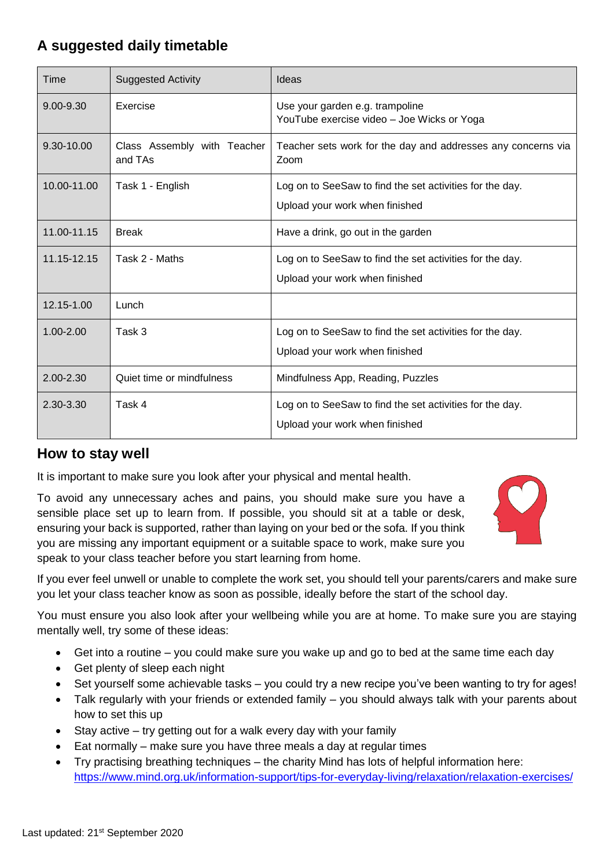## **A suggested daily timetable**

| Time          | <b>Suggested Activity</b>              | Ideas                                                                                      |
|---------------|----------------------------------------|--------------------------------------------------------------------------------------------|
| $9.00 - 9.30$ | Exercise                               | Use your garden e.g. trampoline<br>YouTube exercise video - Joe Wicks or Yoga              |
| 9.30-10.00    | Class Assembly with Teacher<br>and TAs | Teacher sets work for the day and addresses any concerns via<br>Zoom                       |
| 10.00-11.00   | Task 1 - English                       | Log on to SeeSaw to find the set activities for the day.<br>Upload your work when finished |
| 11.00-11.15   | <b>Break</b>                           | Have a drink, go out in the garden                                                         |
| 11.15-12.15   | Task 2 - Maths                         | Log on to SeeSaw to find the set activities for the day.<br>Upload your work when finished |
| 12.15-1.00    | Lunch                                  |                                                                                            |
| $1.00 - 2.00$ | Task 3                                 | Log on to SeeSaw to find the set activities for the day.<br>Upload your work when finished |
| 2.00-2.30     | Quiet time or mindfulness              | Mindfulness App, Reading, Puzzles                                                          |
| 2.30-3.30     | Task 4                                 | Log on to SeeSaw to find the set activities for the day.<br>Upload your work when finished |

### **How to stay well**

It is important to make sure you look after your physical and mental health.

To avoid any unnecessary aches and pains, you should make sure you have a sensible place set up to learn from. If possible, you should sit at a table or desk, ensuring your back is supported, rather than laying on your bed or the sofa. If you think you are missing any important equipment or a suitable space to work, make sure you speak to your class teacher before you start learning from home.



If you ever feel unwell or unable to complete the work set, you should tell your parents/carers and make sure you let your class teacher know as soon as possible, ideally before the start of the school day.

You must ensure you also look after your wellbeing while you are at home. To make sure you are staying mentally well, try some of these ideas:

- Get into a routine you could make sure you wake up and go to bed at the same time each day
- Get plenty of sleep each night
- Set yourself some achievable tasks you could try a new recipe you've been wanting to try for ages!
- Talk regularly with your friends or extended family you should always talk with your parents about how to set this up
- $\bullet$  Stay active try getting out for a walk every day with your family
- Eat normally make sure you have three meals a day at regular times
- Try practising breathing techniques the charity Mind has lots of helpful information here: <https://www.mind.org.uk/information-support/tips-for-everyday-living/relaxation/relaxation-exercises/>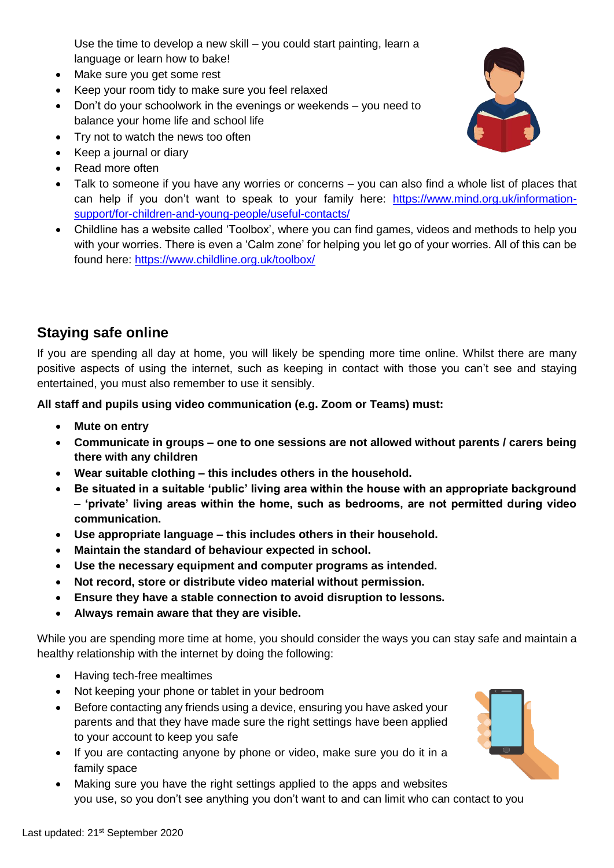Use the time to develop a new skill – you could start painting, learn a language or learn how to bake!

- Make sure you get some rest
- Keep your room tidy to make sure you feel relaxed
- Don't do your schoolwork in the evenings or weekends you need to balance your home life and school life
- Try not to watch the news too often
- Keep a journal or diary
- Read more often
- Talk to someone if you have any worries or concerns you can also find a whole list of places that can help if you don't want to speak to your family here: [https://www.mind.org.uk/information](https://www.mind.org.uk/information-support/for-children-and-young-people/useful-contacts/)[support/for-children-and-young-people/useful-contacts/](https://www.mind.org.uk/information-support/for-children-and-young-people/useful-contacts/)
- Childline has a website called 'Toolbox', where you can find games, videos and methods to help you with your worries. There is even a 'Calm zone' for helping you let go of your worries. All of this can be found here:<https://www.childline.org.uk/toolbox/>

### **Staying safe online**

If you are spending all day at home, you will likely be spending more time online. Whilst there are many positive aspects of using the internet, such as keeping in contact with those you can't see and staying entertained, you must also remember to use it sensibly.

**All staff and pupils using video communication (e.g. Zoom or Teams) must:**

- **Mute on entry**
- **Communicate in groups – one to one sessions are not allowed without parents / carers being there with any children**
- **Wear suitable clothing – this includes others in the household.**
- **Be situated in a suitable 'public' living area within the house with an appropriate background – 'private' living areas within the home, such as bedrooms, are not permitted during video communication.**
- **Use appropriate language – this includes others in their household.**
- **Maintain the standard of behaviour expected in school.**
- **Use the necessary equipment and computer programs as intended.**
- **Not record, store or distribute video material without permission.**
- **Ensure they have a stable connection to avoid disruption to lessons.**
- **Always remain aware that they are visible.**

While you are spending more time at home, you should consider the ways you can stay safe and maintain a healthy relationship with the internet by doing the following:

- Having tech-free mealtimes
- Not keeping your phone or tablet in your bedroom
- Before contacting any friends using a device, ensuring you have asked your parents and that they have made sure the right settings have been applied to your account to keep you safe
- If you are contacting anyone by phone or video, make sure you do it in a family space
- Making sure you have the right settings applied to the apps and websites you use, so you don't see anything you don't want to and can limit who can contact to you